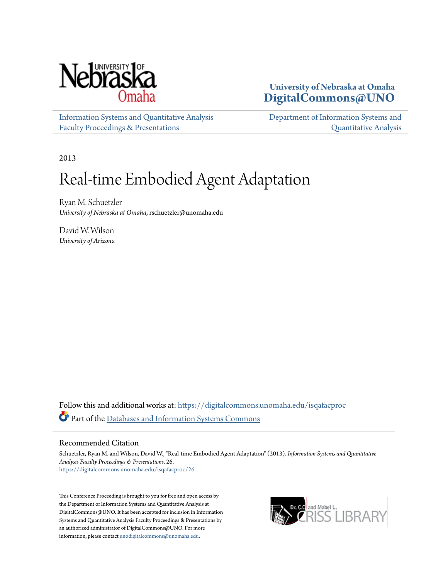

### **University of Nebraska at Omaha [DigitalCommons@UNO](https://digitalcommons.unomaha.edu?utm_source=digitalcommons.unomaha.edu%2Fisqafacproc%2F26&utm_medium=PDF&utm_campaign=PDFCoverPages)**

[Information Systems and Quantitative Analysis](https://digitalcommons.unomaha.edu/isqafacproc?utm_source=digitalcommons.unomaha.edu%2Fisqafacproc%2F26&utm_medium=PDF&utm_campaign=PDFCoverPages) [Faculty Proceedings & Presentations](https://digitalcommons.unomaha.edu/isqafacproc?utm_source=digitalcommons.unomaha.edu%2Fisqafacproc%2F26&utm_medium=PDF&utm_campaign=PDFCoverPages)

[Department of Information Systems and](https://digitalcommons.unomaha.edu/isqa?utm_source=digitalcommons.unomaha.edu%2Fisqafacproc%2F26&utm_medium=PDF&utm_campaign=PDFCoverPages) [Quantitative Analysis](https://digitalcommons.unomaha.edu/isqa?utm_source=digitalcommons.unomaha.edu%2Fisqafacproc%2F26&utm_medium=PDF&utm_campaign=PDFCoverPages)

2013

# Real-time Embodied Agent Adaptation

Ryan M. Schuetzler *University of Nebraska at Omaha*, rschuetzler@unomaha.edu

David W. Wilson *University of Arizona*

Follow this and additional works at: [https://digitalcommons.unomaha.edu/isqafacproc](https://digitalcommons.unomaha.edu/isqafacproc?utm_source=digitalcommons.unomaha.edu%2Fisqafacproc%2F26&utm_medium=PDF&utm_campaign=PDFCoverPages) Part of the [Databases and Information Systems Commons](http://network.bepress.com/hgg/discipline/145?utm_source=digitalcommons.unomaha.edu%2Fisqafacproc%2F26&utm_medium=PDF&utm_campaign=PDFCoverPages)

#### Recommended Citation

Schuetzler, Ryan M. and Wilson, David W., "Real-time Embodied Agent Adaptation" (2013). *Information Systems and Quantitative Analysis Faculty Proceedings & Presentations*. 26. [https://digitalcommons.unomaha.edu/isqafacproc/26](https://digitalcommons.unomaha.edu/isqafacproc/26?utm_source=digitalcommons.unomaha.edu%2Fisqafacproc%2F26&utm_medium=PDF&utm_campaign=PDFCoverPages)

This Conference Proceeding is brought to you for free and open access by the Department of Information Systems and Quantitative Analysis at DigitalCommons@UNO. It has been accepted for inclusion in Information Systems and Quantitative Analysis Faculty Proceedings & Presentations by an authorized administrator of DigitalCommons@UNO. For more information, please contact [unodigitalcommons@unomaha.edu.](mailto:unodigitalcommons@unomaha.edu)

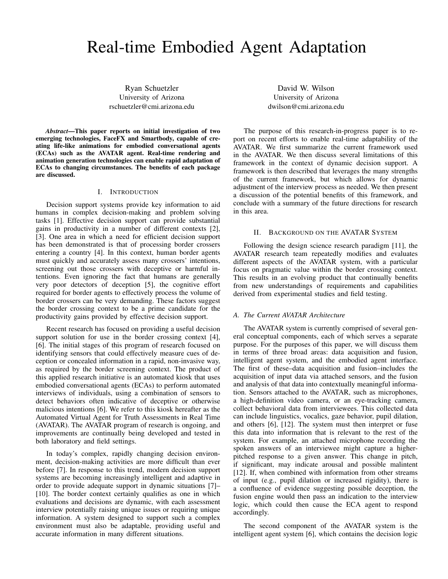## Real-time Embodied Agent Adaptation

Ryan Schuetzler University of Arizona rschuetzler@cmi.arizona.edu

*Abstract*—This paper reports on initial investigation of two emerging technologies, FaceFX and Smartbody, capable of creating life-like animations for embodied conversational agents (ECAs) such as the AVATAR agent. Real-time rendering and animation generation technologies can enable rapid adaptation of ECAs to changing circumstances. The benefits of each package are discussed.

#### I. INTRODUCTION

Decision support systems provide key information to aid humans in complex decision-making and problem solving tasks [1]. Effective decision support can provide substantial gains in productivity in a number of different contexts [2], [3]. One area in which a need for efficient decision support has been demonstrated is that of processing border crossers entering a country [4]. In this context, human border agents must quickly and accurately assess many crossers' intentions, screening out those crossers with deceptive or harmful intentions. Even ignoring the fact that humans are generally very poor detectors of deception [5], the cognitive effort required for border agents to effectively process the volume of border crossers can be very demanding. These factors suggest the border crossing context to be a prime candidate for the productivity gains provided by effective decision support.

Recent research has focused on providing a useful decision support solution for use in the border crossing context [4], [6]. The initial stages of this program of research focused on identifying sensors that could effectively measure cues of deception or concealed information in a rapid, non-invasive way, as required by the border screening context. The product of this applied research initiative is an automated kiosk that uses embodied conversational agents (ECAs) to perform automated interviews of individuals, using a combination of sensors to detect behaviors often indicative of deceptive or otherwise malicious intentions [6]. We refer to this kiosk hereafter as the Automated Virtual Agent for Truth Assessments in Real Time (AVATAR). The AVATAR program of research is ongoing, and improvements are continually being developed and tested in both laboratory and field settings.

In today's complex, rapidly changing decision environment, decision-making activities are more difficult than ever before [7]. In response to this trend, modern decision support systems are becoming increasingly intelligent and adaptive in order to provide adequate support in dynamic situations [7]– [10]. The border context certainly qualifies as one in which evaluations and decisions are dynamic, with each assessment interview potentially raising unique issues or requiring unique information. A system designed to support such a complex environment must also be adaptable, providing useful and accurate information in many different situations.

David W. Wilson University of Arizona dwilson@cmi.arizona.edu

The purpose of this research-in-progress paper is to report on recent efforts to enable real-time adaptability of the AVATAR. We first summarize the current framework used in the AVATAR. We then discuss several limitations of this framework in the context of dynamic decision support. A framework is then described that leverages the many strengths of the current framework, but which allows for dynamic adjustment of the interview process as needed. We then present a discussion of the potential benefits of this framework, and conclude with a summary of the future directions for research in this area.

#### II. BACKGROUND ON THE AVATAR SYSTEM

Following the design science research paradigm [11], the AVATAR research team repeatedly modifies and evaluates different aspects of the AVATAR system, with a particular focus on pragmatic value within the border crossing context. This results in an evolving product that continually benefits from new understandings of requirements and capabilities derived from experimental studies and field testing.

#### *A. The Current AVATAR Architecture*

The AVATAR system is currently comprised of several general conceptual components, each of which serves a separate purpose. For the purposes of this paper, we will discuss them in terms of three broad areas: data acquisition and fusion, intelligent agent system, and the embodied agent interface. The first of these–data acquisition and fusion–includes the acquisition of input data via attached sensors, and the fusion and analysis of that data into contextually meaningful information. Sensors attached to the AVATAR, such as microphones, a high-definition video camera, or an eye-tracking camera, collect behavioral data from interviewees. This collected data can include linguistics, vocalics, gaze behavior, pupil dilation, and others [6], [12]. The system must then interpret or fuse this data into information that is relevant to the rest of the system. For example, an attached microphone recording the spoken answers of an interviewee might capture a higherpitched response to a given answer. This change in pitch, if significant, may indicate arousal and possible malintent [12]. If, when combined with information from other streams of input (e.g., pupil dilation or increased rigidity), there is a confluence of evidence suggesting possible deception, the fusion engine would then pass an indication to the interview logic, which could then cause the ECA agent to respond accordingly.

The second component of the AVATAR system is the intelligent agent system [6], which contains the decision logic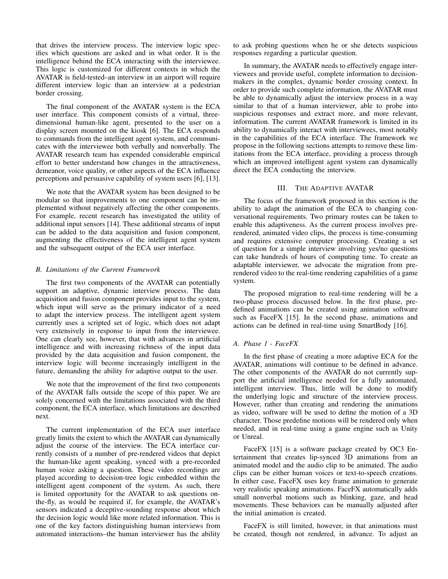that drives the interview process. The interview logic specifies which questions are asked and in what order. It is the intelligence behind the ECA interacting with the interviewee. This logic is customized for different contexts in which the AVATAR is field-tested–an interview in an airport will require different interview logic than an interview at a pedestrian border crossing.

The final component of the AVATAR system is the ECA user interface. This component consists of a virtual, threedimensional human-like agent, presented to the user on a display screen mounted on the kiosk [6]. The ECA responds to commands from the intelligent agent system, and communicates with the interviewee both verbally and nonverbally. The AVATAR research team has expended considerable empirical effort to better understand how changes in the attractiveness, demeanor, voice quality, or other aspects of the ECA influence perceptions and persuasive capability of system users [6], [13].

We note that the AVATAR system has been designed to be modular so that improvements to one component can be implemented without negatively affecting the other components. For example, recent research has investigated the utility of additional input sensors [14]. These additional streams of input can be added to the data acquisition and fusion component, augmenting the effectiveness of the intelligent agent system and the subsequent output of the ECA user interface.

#### *B. Limitations of the Current Framework*

The first two components of the AVATAR can potentially support an adaptive, dynamic interview process. The data acquisition and fusion component provides input to the system, which input will serve as the primary indicator of a need to adapt the interview process. The intelligent agent system currently uses a scripted set of logic, which does not adapt very extensively in response to input from the interviewee. One can clearly see, however, that with advances in artificial intelligence and with increasing richness of the input data provided by the data acquisition and fusion component, the interview logic will become increasingly intelligent in the future, demanding the ability for adaptive output to the user.

We note that the improvement of the first two components of the AVATAR falls outside the scope of this paper. We are solely concerned with the limitations associated with the third component, the ECA interface, which limitations are described next.

The current implementation of the ECA user interface greatly limits the extent to which the AVATAR can dynamically adjust the course of the interview. The ECA interface currently consists of a number of pre-rendered videos that depict the human-like agent speaking, synced with a pre-recorded human voice asking a question. These video recordings are played according to decision-tree logic embedded within the intelligent agent component of the system. As such, there is limited opportunity for the AVATAR to ask questions onthe-fly, as would be required if, for example, the AVATAR's sensors indicated a deceptive-sounding response about which the decision logic would like more related information. This is one of the key factors distinguishing human interviews from automated interactions–the human interviewer has the ability to ask probing questions when he or she detects suspicious responses regarding a particular question.

In summary, the AVATAR needs to effectively engage interviewees and provide useful, complete information to decisionmakers in the complex, dynamic border crossing context. In order to provide such complete information, the AVATAR must be able to dynamically adjust the interview process in a way similar to that of a human interviewer, able to probe into suspicious responses and extract more, and more relevant, information. The current AVATAR framework is limited in its ability to dynamically interact with interviewees, most notably in the capabilities of the ECA interface. The framework we propose in the following sections attempts to remove these limitations from the ECA interface, providing a process through which an improved intelligent agent system can dynamically direct the ECA conducting the interview.

#### III. THE ADAPTIVE AVATAR

The focus of the framework proposed in this section is the ability to adapt the animation of the ECA to changing conversational requirements. Two primary routes can be taken to enable this adaptiveness. As the current process involves prerendered, animated video clips, the process is time-consuming and requires extensive computer processing. Creating a set of question for a simple interview involving yes/no questions can take hundreds of hours of computing time. To create an adaptable interviewer, we advocate the migration from prerendered video to the real-time rendering capabilities of a game system.

The proposed migration to real-time rendering will be a two-phase process discussed below. In the first phase, predefined animations can be created using animation software such as FaceFX [15]. In the second phase, animations and actions can be defined in real-time using SmartBody [16].

#### *A. Phase 1 - FaceFX*

In the first phase of creating a more adaptive ECA for the AVATAR, animations will continue to be defined in advance. The other components of the AVATAR do not currently support the artificial intelligence needed for a fully automated, intelligent interview. Thus, little will be done to modify the underlying logic and structure of the interview process. However, rather than creating and rendering the animations as video, software will be used to define the motion of a 3D character. Those predefine motions will be rendered only when needed, and in real-time using a game engine such as Unity or Unreal.

FaceFX [15] is a software package created by OC3 Entertainment that creates lip-synced 3D animations from an animated model and the audio clip to be animated. The audio clips can be either human voices or text-to-speech creations. In either case, FaceFX uses key frame animation to generate very realistic speaking animations. FaceFX automatically adds small nonverbal motions such as blinking, gaze, and head movements. These behaviors can be manually adjusted after the initial animation is created.

FaceFX is still limited, however, in that animations must be created, though not rendered, in advance. To adjust an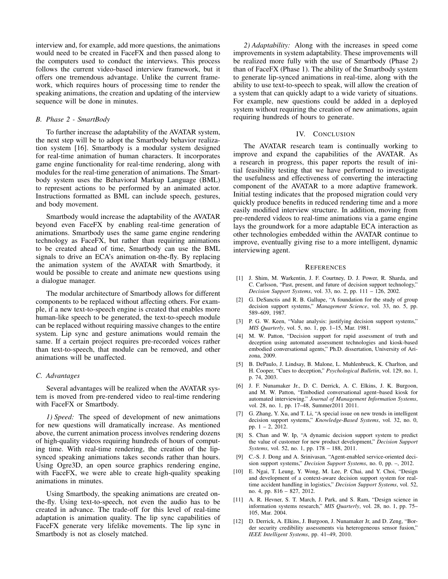interview and, for example, add more questions, the animations would need to be created in FaceFX and then passed along to the computers used to conduct the interviews. This process follows the current video-based interview framework, but it offers one tremendous advantage. Unlike the current framework, which requires hours of processing time to render the speaking animations, the creation and updating of the interview sequence will be done in minutes.

#### *B. Phase 2 - SmartBody*

To further increase the adaptability of the AVATAR system, the next step will be to adopt the Smartbody behavior realization system [16]. Smartbody is a modular system designed for real-time animation of human characters. It incorporates game engine functionality for real-time rendering, along with modules for the real-time generation of animations. The Smartbody system uses the Behavioral Markup Language (BML) to represent actions to be performed by an animated actor. Instructions formatted as BML can include speech, gestures, and body movement.

Smartbody would increase the adaptability of the AVATAR beyond even FaceFX by enabling real-time generation of animations. Smartbody uses the same game engine rendering technology as FaceFX, but rather than requiring animations to be created ahead of time, Smartbody can use the BML signals to drive an ECA's animation on-the-fly. By replacing the animation system of the AVATAR with Smartbody, it would be possible to create and animate new questions using a dialogue manager.

The modular architecture of Smartbody allows for different components to be replaced without affecting others. For example, if a new text-to-speech engine is created that enables more human-like speech to be generated, the text-to-speech module can be replaced without requiring massive changes to the entire system. Lip sync and gesture animations would remain the same. If a certain project requires pre-recorded voices rather than text-to-speech, that module can be removed, and other animations will be unaffected.

#### *C. Advantages*

Several advantages will be realized when the AVATAR system is moved from pre-rendered video to real-time rendering with FaceFX or Smartbody.

*1) Speed:* The speed of development of new animations for new questions will dramatically increase. As mentioned above, the current animation process involves rendering dozens of high-quality videos requiring hundreds of hours of computing time. With real-time rendering, the creation of the lipsynced speaking animations takes seconds rather than hours. Using Ogre3D, an open source graphics rendering engine, with FaceFX, we were able to create high-quality speaking animations in minutes.

Using Smartbody, the speaking animations are created onthe-fly. Using text-to-speech, not even the audio has to be created in advance. The trade-off for this level of real-time adaptation is animation quality. The lip sync capabilities of FaceFX generate very lifelike movements. The lip sync in Smartbody is not as closely matched.

*2) Adaptability:* Along with the increases in speed come improvements in system adaptability. These improvements will be realized more fully with the use of Smartbody (Phase 2) than of FaceFX (Phase 1). The ability of the Smartbody system to generate lip-synced animations in real-time, along with the ability to use text-to-speech to speak, will allow the creation of a system that can quickly adapt to a wide variety of situations. For example, new questions could be added in a deployed system without requiring the creation of new animations, again requiring hundreds of hours to generate.

#### IV. CONCLUSION

The AVATAR research team is continually working to improve and expand the capabilities of the AVATAR. As a research in progress, this paper reports the result of initial feasibility testing that we have performed to investigate the usefulness and effectiveness of converting the interacting component of the AVATAR to a more adaptive framework. Initial testing indicates that the proposed migration could very quickly produce benefits in reduced rendering time and a more easily modified interview structure. In addition, moving from pre-rendered videos to real-time animations via a game engine lays the groundwork for a more adaptable ECA interaction as other technologies embedded within the AVATAR continue to improve, eventually giving rise to a more intelligent, dynamic interviewing agent.

#### **REFERENCES**

- [1] J. Shim, M. Warkentin, J. F. Courtney, D. J. Power, R. Sharda, and C. Carlsson, "Past, present, and future of decision support technology," *Decision Support Systems*, vol. 33, no. 2, pp. 111 – 126, 2002.
- [2] G. DeSanctis and R. B. Gallupe, "A foundation for the study of group decision support systems," *Management Science*, vol. 33, no. 5, pp. 589–609, 1987.
- [3] P. G. W. Keen, "Value analysis: justifying decision support systems," *MIS Quarterly*, vol. 5, no. 1, pp. 1–15, Mar. 1981.
- [4] M. W. Patton, "Decision support for rapid assessment of truth and deception using automated assessment technologies and kiosk-based embodied conversational agents," Ph.D. dissertation, University of Arizona, 2009.
- [5] B. DePaulo, J. Lindsay, B. Malone, L. Muhlenbruck, K. Charlton, and H. Cooper, "Cues to deception," *Psychological Bulletin*, vol. 129, no. 1, p. 74, 2003.
- [6] J. F. Nunamaker Jr., D. C. Derrick, A. C. Elkins, J. K. Burgoon, and M. W. Patton, "Embodied conversational agent–based kiosk for automated interviewing." *Journal of Management Information Systems*, vol. 28, no. 1, pp. 17-48, Summer2011 2011.
- [7] G. Zhang, Y. Xu, and T. Li, "A special issue on new trends in intelligent decision support systems," *Knowledge-Based Systems*, vol. 32, no. 0, pp. 1 – 2, 2012.
- [8] S. Chan and W. Ip, "A dynamic decision support system to predict the value of customer for new product development," *Decision Support Systems*, vol. 52, no. 1, pp. 178 – 188, 2011.
- [9] C.-S. J. Dong and A. Srinivasan, "Agent-enabled service-oriented decision support systems," *Decision Support Systems*, no. 0, pp. –, 2012.
- [10] E. Ngai, T. Leung, Y. Wong, M. Lee, P. Chai, and Y. Choi, "Design and development of a context-aware decision support system for realtime accident handling in logistics," *Decision Support Systems*, vol. 52, no. 4, pp. 816 – 827, 2012.
- [11] A. R. Hevner, S. T. March, J. Park, and S. Ram, "Design science in information systems research," *MIS Quarterly*, vol. 28, no. 1, pp. 75– 105, Mar. 2004.
- [12] D. Derrick, A. Elkins, J. Burgoon, J. Nunamaker Jr, and D. Zeng, "Border security credibility assessments via heterogeneous sensor fusion," *IEEE Intelligent Systems*, pp. 41–49, 2010.